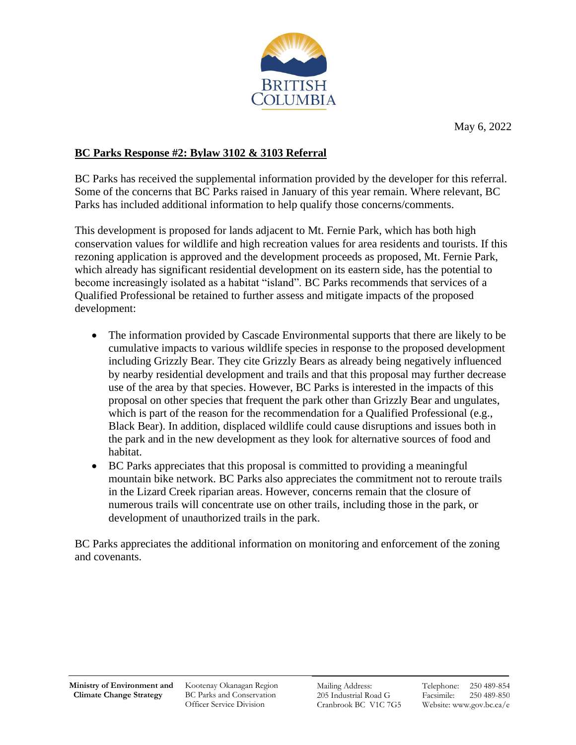

## **BC Parks Response #2: Bylaw 3102 & 3103 Referral**

BC Parks has received the supplemental information provided by the developer for this referral. Some of the concerns that BC Parks raised in January of this year remain. Where relevant, BC Parks has included additional information to help qualify those concerns/comments.

This development is proposed for lands adjacent to Mt. Fernie Park, which has both high conservation values for wildlife and high recreation values for area residents and tourists. If this rezoning application is approved and the development proceeds as proposed, Mt. Fernie Park, which already has significant residential development on its eastern side, has the potential to become increasingly isolated as a habitat "island". BC Parks recommends that services of a Qualified Professional be retained to further assess and mitigate impacts of the proposed development:

- The information provided by Cascade Environmental supports that there are likely to be cumulative impacts to various wildlife species in response to the proposed development including Grizzly Bear. They cite Grizzly Bears as already being negatively influenced by nearby residential development and trails and that this proposal may further decrease use of the area by that species. However, BC Parks is interested in the impacts of this proposal on other species that frequent the park other than Grizzly Bear and ungulates, which is part of the reason for the recommendation for a Qualified Professional (e.g., Black Bear). In addition, displaced wildlife could cause disruptions and issues both in the park and in the new development as they look for alternative sources of food and habitat.
- BC Parks appreciates that this proposal is committed to providing a meaningful mountain bike network. BC Parks also appreciates the commitment not to reroute trails in the Lizard Creek riparian areas. However, concerns remain that the closure of numerous trails will concentrate use on other trails, including those in the park, or development of unauthorized trails in the park.

BC Parks appreciates the additional information on monitoring and enforcement of the zoning and covenants.

Kootenay Okanagan Region BC Parks and Conservation Officer Service Division

Mailing Address: 205 Industrial Road G Cranbrook BC V1C 7G5